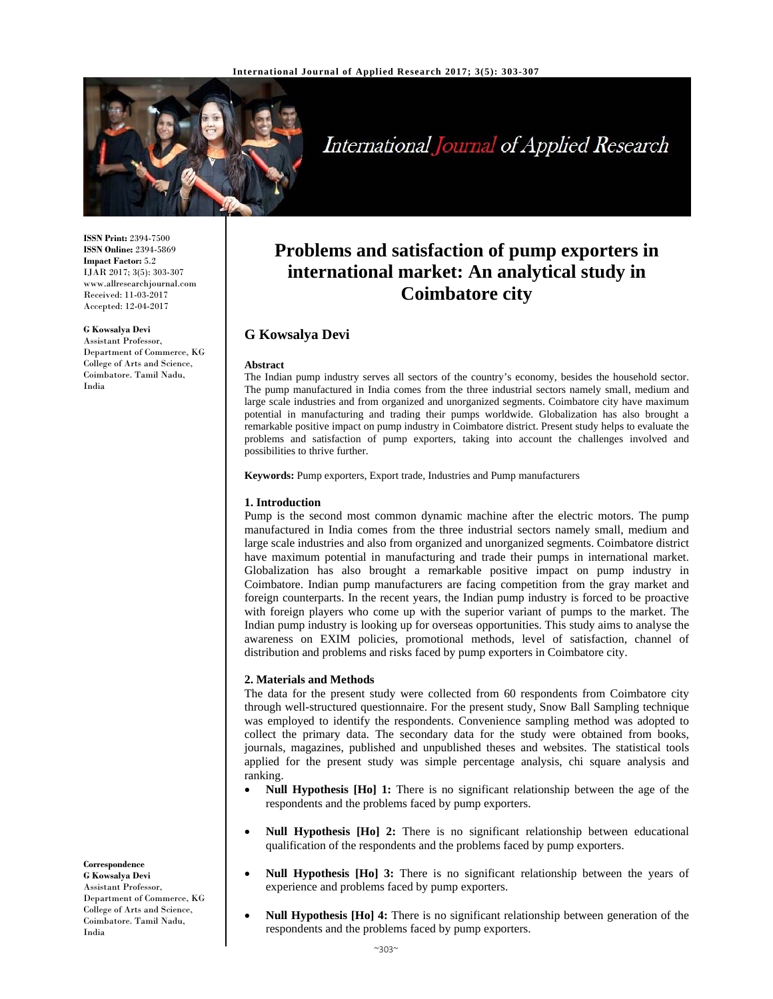

# International Journal of Applied Research

**Problems and satisfaction of pump exporters in international market: An analytical study in Coimbatore city** 

The Indian pump industry serves all sectors of the country's economy, besides the household sector. The pump manufactured in India comes from the three industrial sectors namely small, medium and large scale industries and from organized and unorganized segments. Coimbatore city have maximum potential in manufacturing and trading their pumps worldwide. Globalization has also brought a remarkable positive impact on pump industry in Coimbatore district. Present study helps to evaluate the problems and satisfaction of pump exporters, taking into account the challenges involved and

**ISSN Print:** 2394-7500 **ISSN Online:** 2394-5869 **Impact Factor:** 5.2 IJAR 2017; 3(5): 303-307 www.allresearchjournal.com Received: 11-03-2017 Accepted: 12-04-2017

#### **G Kowsalya Devi**

Assistant Professor, College of Arts and Science, Coimbatore. Tamil Nadu, India

Department of Commerce, KG

**Keywords:** Pump exporters, Export trade, Industries and Pump manufacturers

#### **1. Introduction**

**G Kowsalya Devi** 

possibilities to thrive further.

**Abstract** 

Pump is the second most common dynamic machine after the electric motors. The pump manufactured in India comes from the three industrial sectors namely small, medium and large scale industries and also from organized and unorganized segments. Coimbatore district have maximum potential in manufacturing and trade their pumps in international market. Globalization has also brought a remarkable positive impact on pump industry in Coimbatore. Indian pump manufacturers are facing competition from the gray market and foreign counterparts. In the recent years, the Indian pump industry is forced to be proactive with foreign players who come up with the superior variant of pumps to the market. The Indian pump industry is looking up for overseas opportunities. This study aims to analyse the awareness on EXIM policies, promotional methods, level of satisfaction, channel of distribution and problems and risks faced by pump exporters in Coimbatore city.

# **2. Materials and Methods**

The data for the present study were collected from 60 respondents from Coimbatore city through well-structured questionnaire. For the present study, Snow Ball Sampling technique was employed to identify the respondents. Convenience sampling method was adopted to collect the primary data. The secondary data for the study were obtained from books, journals, magazines, published and unpublished theses and websites. The statistical tools applied for the present study was simple percentage analysis, chi square analysis and ranking.

- **Null Hypothesis [Ho] 1:** There is no significant relationship between the age of the respondents and the problems faced by pump exporters.
- **Null Hypothesis [Ho] 2:** There is no significant relationship between educational qualification of the respondents and the problems faced by pump exporters.
- **Null Hypothesis [Ho] 3:** There is no significant relationship between the years of experience and problems faced by pump exporters.
- **Null Hypothesis [Ho] 4:** There is no significant relationship between generation of the respondents and the problems faced by pump exporters.

# **Correspondence**

**G Kowsalya Devi**  Assistant Professor, Department of Commerce, KG College of Arts and Science, Coimbatore. Tamil Nadu, India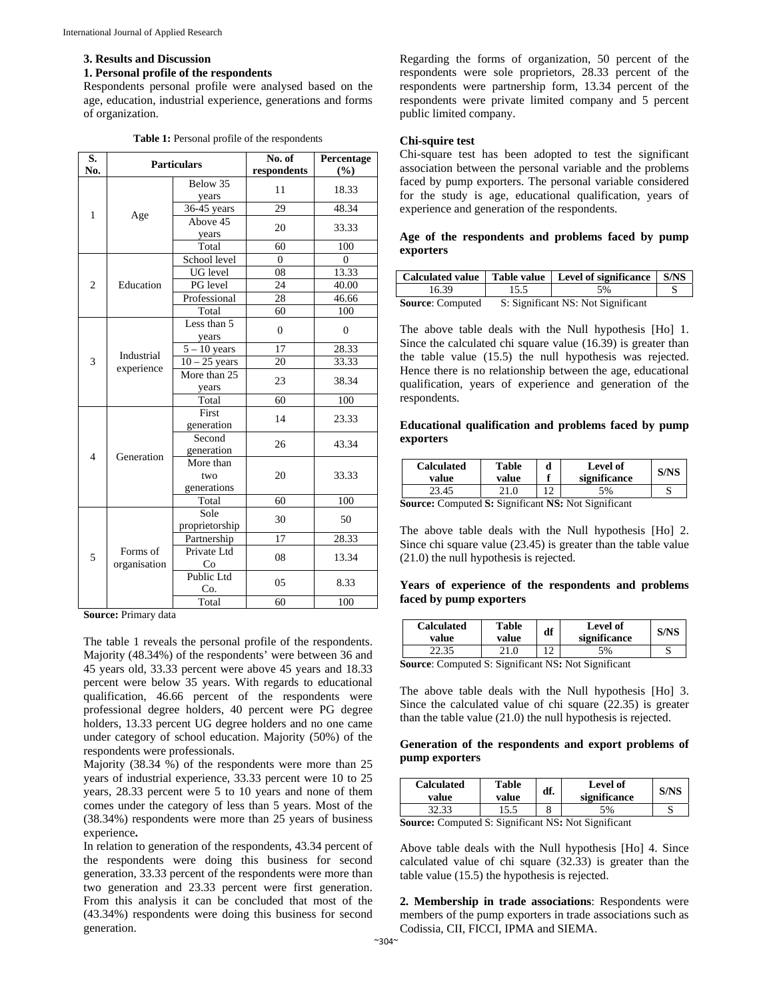#### **3. Results and Discussion**

#### **1. Personal profile of the respondents**

Respondents personal profile were analysed based on the age, education, industrial experience, generations and forms of organization.

|  | <b>Table 1:</b> Personal profile of the respondents |
|--|-----------------------------------------------------|
|--|-----------------------------------------------------|

| S.<br>No.      | <b>Particulars</b>       |                                 | No. of<br>respondents | Percentage<br>(%)  |
|----------------|--------------------------|---------------------------------|-----------------------|--------------------|
|                |                          | Below 35<br>years               | 11                    | 18.33              |
| 1              |                          | 36-45 years                     | 29                    | 48.34              |
|                | Age                      | Above 45<br>years               | 20                    | 33.33              |
|                |                          | Total                           | 60                    | 100                |
|                |                          | School level                    | $\Omega$              | $\Omega$           |
|                |                          | UG level                        | 08                    | $13.\overline{33}$ |
| $\overline{2}$ | Education                | PG level                        | 24                    | 40.00              |
|                |                          | Professional                    | 28                    | 46.66              |
|                |                          | Total                           | 60                    | 100                |
|                |                          | Less than 5<br>years            | $\theta$              | $\Omega$           |
|                |                          | $5 - 10$ years                  | 17                    | 28.33              |
| 3              | Industrial<br>experience | $10 - 25$ years                 | 20                    | 33.33              |
|                |                          | More than 25<br>years           | 23                    | 38.34              |
|                |                          | Total                           | 60                    | 100                |
|                |                          | First<br>generation             | 14                    | 23.33              |
| $\overline{4}$ | Generation               | Second<br>generation            | 26                    | 43.34              |
|                |                          | More than<br>two<br>generations | 20                    | 33.33              |
|                |                          | Total                           | 60                    | 100                |
|                |                          | Sole<br>proprietorship          | 30                    | 50                 |
|                |                          | Partnership                     | 17                    | 28.33              |
| 5              | Forms of<br>organisation | Private Ltd<br>Co               | 08                    | 13.34              |
|                |                          | Public Ltd<br>Co.               | 05                    | 8.33               |
|                |                          | Total                           | 60                    | 100                |

**Source:** Primary data

The table 1 reveals the personal profile of the respondents. Majority (48.34%) of the respondents' were between 36 and 45 years old, 33.33 percent were above 45 years and 18.33 percent were below 35 years. With regards to educational qualification, 46.66 percent of the respondents were professional degree holders, 40 percent were PG degree holders, 13.33 percent UG degree holders and no one came under category of school education. Majority (50%) of the respondents were professionals.

Majority (38.34 %) of the respondents were more than 25 years of industrial experience, 33.33 percent were 10 to 25 years, 28.33 percent were 5 to 10 years and none of them comes under the category of less than 5 years. Most of the (38.34%) respondents were more than 25 years of business experience**.** 

In relation to generation of the respondents, 43.34 percent of the respondents were doing this business for second generation, 33.33 percent of the respondents were more than two generation and 23.33 percent were first generation. From this analysis it can be concluded that most of the (43.34%) respondents were doing this business for second generation.

Regarding the forms of organization, 50 percent of the respondents were sole proprietors, 28.33 percent of the respondents were partnership form, 13.34 percent of the respondents were private limited company and 5 percent public limited company.

### **Chi-squire test**

Chi-square test has been adopted to test the significant association between the personal variable and the problems faced by pump exporters. The personal variable considered for the study is age, educational qualification, years of experience and generation of the respondents.

# **Age of the respondents and problems faced by pump exporters**

|                         |                                    | Calculated value   Table value   Level of significance   S/NS |  |
|-------------------------|------------------------------------|---------------------------------------------------------------|--|
| 16.39                   | 15.5                               | 5%                                                            |  |
| <b>Source:</b> Computed | S: Significant NS: Not Significant |                                                               |  |

The above table deals with the Null hypothesis [Ho] 1. Since the calculated chi square value (16.39) is greater than the table value (15.5) the null hypothesis was rejected. Hence there is no relationship between the age, educational qualification, years of experience and generation of the respondents.

# **Educational qualification and problems faced by pump exporters**

| <b>Calculated</b><br>value                           | <b>Table</b><br>value | d | <b>Level of</b><br>significance | <b>S/NS</b> |
|------------------------------------------------------|-----------------------|---|---------------------------------|-------------|
| 23.45                                                |                       |   | 5%                              |             |
| Sarmaal Camputad St. Sianifiaant NG, Nat Sianifiaant |                       |   |                                 |             |

**Source:** Computed **S:** Significant **NS:** Not Significant

The above table deals with the Null hypothesis [Ho] 2. Since chi square value (23.45) is greater than the table value (21.0) the null hypothesis is rejected.

# **Years of experience of the respondents and problems faced by pump exporters**

| <b>Calculated</b><br>value                                 | Table<br>value | df | Level of<br>significance |  |
|------------------------------------------------------------|----------------|----|--------------------------|--|
| 22.35                                                      |                |    | 5%                       |  |
| <b>Source:</b> Computed S: Significant NS: Not Significant |                |    |                          |  |

**Source**: Computed S: Significant NS**:** Not Significant

The above table deals with the Null hypothesis [Ho] 3. Since the calculated value of chi square (22.35) is greater than the table value (21.0) the null hypothesis is rejected.

# **Generation of the respondents and export problems of pump exporters**

| <b>Table</b><br><b>Calculated</b><br>value<br>value |  | df. | <b>Level</b> of<br>significance |   |  |
|-----------------------------------------------------|--|-----|---------------------------------|---|--|
|                                                     |  | о   | 5%                              | ັ |  |

**Source:** Computed S: Significant NS**:** Not Significant

Above table deals with the Null hypothesis [Ho] 4. Since calculated value of chi square (32.33) is greater than the table value (15.5) the hypothesis is rejected.

**2. Membership in trade associations**: Respondents were members of the pump exporters in trade associations such as Codissia, CII, FICCI, IPMA and SIEMA.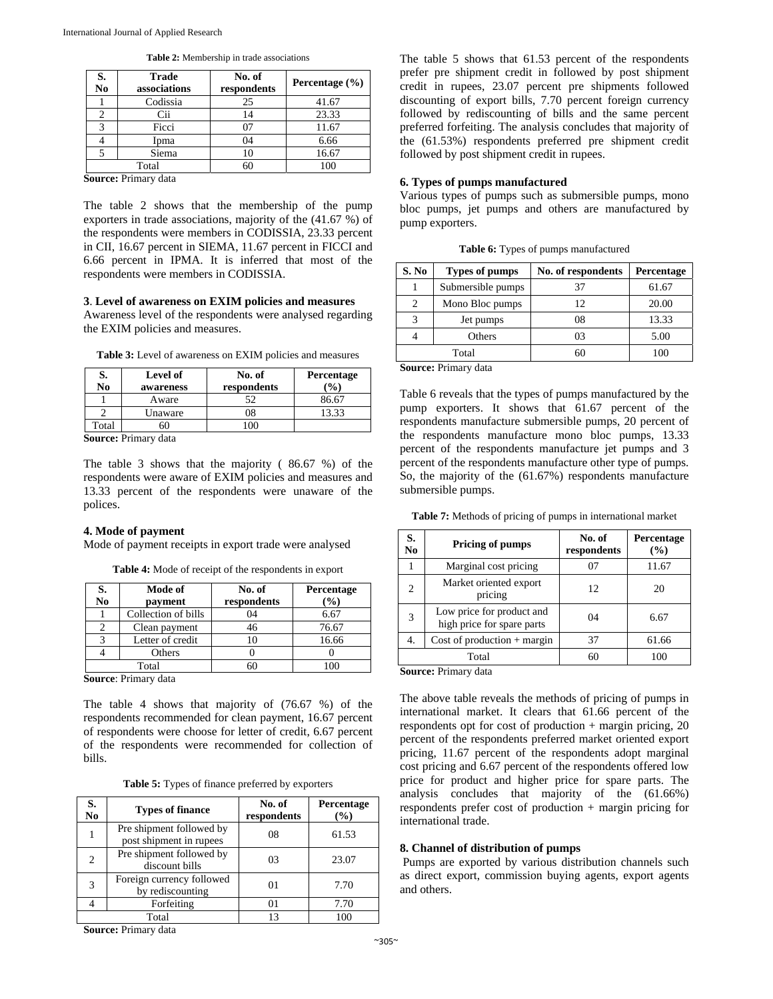| S.<br>N <sub>0</sub> | <b>Trade</b><br>associations | No. of<br>respondents | Percentage $(\% )$ |
|----------------------|------------------------------|-----------------------|--------------------|
|                      | Codissia                     | 25                    | 41.67              |
|                      | Cii                          | 14                    | 23.33              |
| $\mathbf{\Omega}$    | Ficci                        |                       | 11.67              |
|                      | Ipma                         | 04                    | 6.66               |
|                      | Siema                        | 10                    | 16.67              |
| -                    | Total<br>- -                 | 60                    | 100                |

**Table 2:** Membership in trade associations

**Source:** Primary data

The table 2 shows that the membership of the pump exporters in trade associations, majority of the (41.67 %) of the respondents were members in CODISSIA, 23.33 percent in CII, 16.67 percent in SIEMA, 11.67 percent in FICCI and 6.66 percent in IPMA. It is inferred that most of the respondents were members in CODISSIA.

#### **3**. **Level of awareness on EXIM policies and measures**

Awareness level of the respondents were analysed regarding the EXIM policies and measures.

**Table 3:** Level of awareness on EXIM policies and measures

| S.                   | Level of  | No. of      | Percentage     |  |  |
|----------------------|-----------|-------------|----------------|--|--|
| No                   | awareness | respondents | $\binom{0}{0}$ |  |  |
|                      | Aware     |             | 86.67          |  |  |
|                      | Unaware   |             | 13.33          |  |  |
| Total                |           | 100         |                |  |  |
| Cource: Drimary data |           |             |                |  |  |

**Source:** Primary data

The table 3 shows that the majority ( 86.67 %) of the respondents were aware of EXIM policies and measures and 13.33 percent of the respondents were unaware of the polices.

# **4. Mode of payment**

Mode of payment receipts in export trade were analysed

| S. | Mode of             | No. of      | Percentage |
|----|---------------------|-------------|------------|
| No | payment             | respondents | $(\%)$     |
|    | Collection of bills | 04          | 6.67       |
|    | Clean payment       | 16          | 76.67      |
|    | Letter of credit    |             | 16.66      |
|    | Others              |             |            |
|    | Total               |             |            |

**Source**: Primary data

The table 4 shows that majority of (76.67 %) of the respondents recommended for clean payment, 16.67 percent of respondents were choose for letter of credit, 6.67 percent of the respondents were recommended for collection of bills.

| Table 5: Types of finance preferred by exporters |  |  |  |  |  |
|--------------------------------------------------|--|--|--|--|--|
|--------------------------------------------------|--|--|--|--|--|

| S.<br>No | <b>Types of finance</b>                             | No. of<br>respondents | Percentage<br>(%) |
|----------|-----------------------------------------------------|-----------------------|-------------------|
|          | Pre shipment followed by<br>post shipment in rupees | 08                    | 61.53             |
| 2        | Pre shipment followed by<br>discount bills          | 03                    | 23.07             |
| 3        | Foreign currency followed<br>by rediscounting       | 01                    | 7.70              |
|          | Forfeiting                                          | 01                    | 7.70              |
|          | Total                                               | 13                    | 100               |

**Source:** Primary data

The table 5 shows that 61.53 percent of the respondents prefer pre shipment credit in followed by post shipment credit in rupees, 23.07 percent pre shipments followed discounting of export bills, 7.70 percent foreign currency followed by rediscounting of bills and the same percent preferred forfeiting. The analysis concludes that majority of the (61.53%) respondents preferred pre shipment credit followed by post shipment credit in rupees.

# **6. Types of pumps manufactured**

Various types of pumps such as submersible pumps, mono bloc pumps, jet pumps and others are manufactured by pump exporters.

**Table 6:** Types of pumps manufactured

| S. No | <b>Types of pumps</b> | No. of respondents | Percentage |
|-------|-----------------------|--------------------|------------|
|       | Submersible pumps     | 37                 | 61.67      |
|       | Mono Bloc pumps       | 12                 | 20.00      |
|       | Jet pumps             | 08                 | 13.33      |
|       | Others                | 03                 | 5.00       |
|       | Total                 | 60                 |            |

**Source:** Primary data

Table 6 reveals that the types of pumps manufactured by the pump exporters. It shows that 61.67 percent of the respondents manufacture submersible pumps, 20 percent of the respondents manufacture mono bloc pumps, 13.33 percent of the respondents manufacture jet pumps and 3 percent of the respondents manufacture other type of pumps. So, the majority of the (61.67%) respondents manufacture submersible pumps.

**Table 7:** Methods of pricing of pumps in international market

| S.<br>N <sub>0</sub> | Pricing of pumps                                        | No. of<br>respondents | Percentage<br>(%) |
|----------------------|---------------------------------------------------------|-----------------------|-------------------|
|                      | Marginal cost pricing                                   | 07                    | 11.67             |
| $\mathfrak{D}$       | Market oriented export<br>pricing                       | 12                    | 20                |
| 3                    | Low price for product and<br>high price for spare parts | 04                    | 6.67              |
| 4.                   | Cost of production $+$ margin                           | 37                    | 61.66             |
|                      | Total                                                   | 60                    | 100               |

**Source:** Primary data

The above table reveals the methods of pricing of pumps in international market. It clears that 61.66 percent of the respondents opt for cost of production + margin pricing, 20 percent of the respondents preferred market oriented export pricing, 11.67 percent of the respondents adopt marginal cost pricing and 6.67 percent of the respondents offered low price for product and higher price for spare parts. The analysis concludes that majority of the (61.66%) respondents prefer cost of production + margin pricing for international trade.

# **8. Channel of distribution of pumps**

 Pumps are exported by various distribution channels such as direct export, commission buying agents, export agents and others.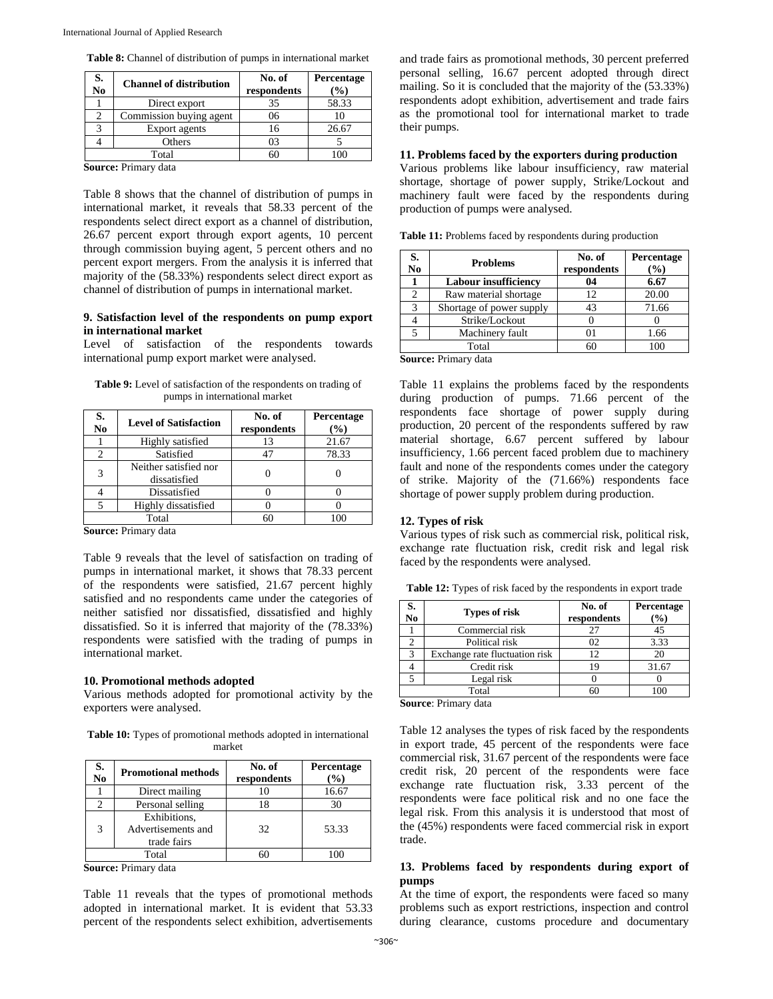| S.<br><b>Channel of distribution</b><br>N <sub>0</sub> |                         | No. of<br>respondents | Percentage<br>$\%$ |
|--------------------------------------------------------|-------------------------|-----------------------|--------------------|
|                                                        | Direct export           | 35                    | 58.33              |
| 2                                                      | Commission buying agent | 06                    | 10                 |
|                                                        | Export agents           | 16                    | 26.67              |
|                                                        | Others                  | 03                    |                    |
|                                                        | Total                   | 60                    |                    |

**Table 8:** Channel of distribution of pumps in international market

**Source:** Primary data

Table 8 shows that the channel of distribution of pumps in international market, it reveals that 58.33 percent of the respondents select direct export as a channel of distribution, 26.67 percent export through export agents, 10 percent through commission buying agent, 5 percent others and no percent export mergers. From the analysis it is inferred that majority of the (58.33%) respondents select direct export as channel of distribution of pumps in international market.

# **9. Satisfaction level of the respondents on pump export in international market**

Level of satisfaction of the respondents towards international pump export market were analysed.

**Table 9:** Level of satisfaction of the respondents on trading of pumps in international market

| S.<br>N <sub>0</sub> | <b>Level of Satisfaction</b>          | No. of<br>respondents | Percentage<br>$(\%)$ |
|----------------------|---------------------------------------|-----------------------|----------------------|
|                      | Highly satisfied                      | 13                    | 21.67                |
| າ                    | Satisfied                             | 47                    | 78.33                |
| 3                    | Neither satisfied nor<br>dissatisfied |                       |                      |
|                      | Dissatisfied                          |                       |                      |
|                      | Highly dissatisfied                   |                       |                      |
|                      | Total                                 | 60                    |                      |

**Source:** Primary data

Table 9 reveals that the level of satisfaction on trading of pumps in international market, it shows that 78.33 percent of the respondents were satisfied, 21.67 percent highly satisfied and no respondents came under the categories of neither satisfied nor dissatisfied, dissatisfied and highly dissatisfied. So it is inferred that majority of the (78.33%) respondents were satisfied with the trading of pumps in international market.

#### **10. Promotional methods adopted**

Various methods adopted for promotional activity by the exporters were analysed.

**Table 10:** Types of promotional methods adopted in international market

| S.<br>N <sub>0</sub> | <b>Promotional methods</b>                        | No. of<br>respondents | Percentage<br>$(\%)$ |
|----------------------|---------------------------------------------------|-----------------------|----------------------|
|                      | Direct mailing                                    | 10                    | 16.67                |
| 2                    | Personal selling                                  | 18                    | 30                   |
| 3                    | Exhibitions,<br>Advertisements and<br>trade fairs | 32                    | 53.33                |
|                      | Total                                             |                       |                      |

**Source:** Primary data

Table 11 reveals that the types of promotional methods adopted in international market. It is evident that 53.33 percent of the respondents select exhibition, advertisements

and trade fairs as promotional methods, 30 percent preferred personal selling, 16.67 percent adopted through direct mailing. So it is concluded that the majority of the (53.33%) respondents adopt exhibition, advertisement and trade fairs as the promotional tool for international market to trade their pumps.

# **11. Problems faced by the exporters during production**

Various problems like labour insufficiency, raw material shortage, shortage of power supply, Strike/Lockout and machinery fault were faced by the respondents during production of pumps were analysed.

| <b>Table 11:</b> Problems faced by respondents during production |  |  |  |  |  |  |  |  |
|------------------------------------------------------------------|--|--|--|--|--|--|--|--|
|------------------------------------------------------------------|--|--|--|--|--|--|--|--|

| No | <b>Problems</b>             | No. of<br>respondents | Percentage<br>(%) |
|----|-----------------------------|-----------------------|-------------------|
|    | <b>Labour insufficiency</b> | 04                    | 6.67              |
|    | Raw material shortage       | 12                    | 20.00             |
|    | Shortage of power supply    | 43                    | 71.66             |
|    | Strike/Lockout              |                       |                   |
|    | Machinery fault             |                       | 1.66              |
|    | Total                       |                       | 100               |

**Source:** Primary data

Table 11 explains the problems faced by the respondents during production of pumps. 71.66 percent of the respondents face shortage of power supply during production, 20 percent of the respondents suffered by raw material shortage, 6.67 percent suffered by labour insufficiency, 1.66 percent faced problem due to machinery fault and none of the respondents comes under the category of strike. Majority of the (71.66%) respondents face shortage of power supply problem during production.

# **12. Types of risk**

Various types of risk such as commercial risk, political risk, exchange rate fluctuation risk, credit risk and legal risk faced by the respondents were analysed.

**Table 12:** Types of risk faced by the respondents in export trade

| N <sub>0</sub> | <b>Types of risk</b>           | No. of<br>respondents | Percentage<br>$(\%)$ |
|----------------|--------------------------------|-----------------------|----------------------|
|                | Commercial risk                |                       | 45                   |
|                | Political risk                 | 02                    | 3.33                 |
|                | Exchange rate fluctuation risk | 12                    |                      |
|                | Credit risk                    | 19                    | 31.67                |
|                | Legal risk                     |                       |                      |
|                | Total                          |                       |                      |

**Source**: Primary data

Table 12 analyses the types of risk faced by the respondents in export trade, 45 percent of the respondents were face commercial risk, 31.67 percent of the respondents were face credit risk, 20 percent of the respondents were face exchange rate fluctuation risk, 3.33 percent of the respondents were face political risk and no one face the legal risk. From this analysis it is understood that most of the (45%) respondents were faced commercial risk in export trade.

# **13. Problems faced by respondents during export of pumps**

At the time of export, the respondents were faced so many problems such as export restrictions, inspection and control during clearance, customs procedure and documentary